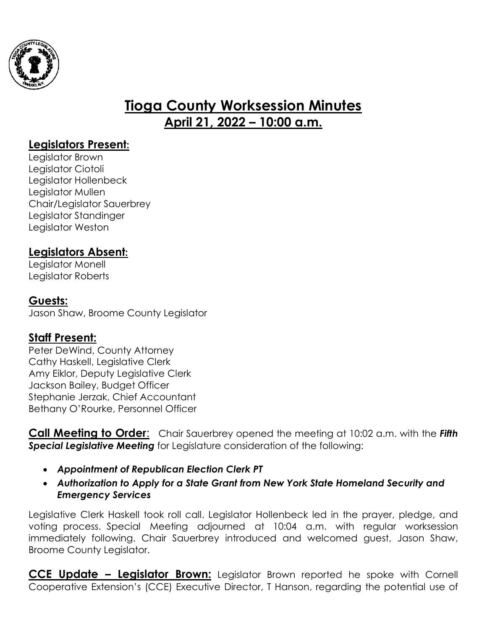

# **Tioga County Worksession Minutes April 21, 2022 – 10:00 a.m.**

## **Legislators Present:**

Legislator Brown Legislator Ciotoli Legislator Hollenbeck Legislator Mullen Chair/Legislator Sauerbrey Legislator Standinger Legislator Weston

## **Legislators Absent:**

Legislator Monell Legislator Roberts

### **Guests:**

Jason Shaw, Broome County Legislator

### **Staff Present:**

Peter DeWind, County Attorney Cathy Haskell, Legislative Clerk Amy Eiklor, Deputy Legislative Clerk Jackson Bailey, Budget Officer Stephanie Jerzak, Chief Accountant Bethany O'Rourke, Personnel Officer

**Call Meeting to Order**: Chair Sauerbrey opened the meeting at 10:02 a.m. with the *Fifth Special Legislative Meeting* for Legislature consideration of the following:

- *Appointment of Republican Election Clerk PT*
- *Authorization to Apply for a State Grant from New York State Homeland Security and Emergency Services*

Legislative Clerk Haskell took roll call. Legislator Hollenbeck led in the prayer, pledge, and voting process. Special Meeting adjourned at 10:04 a.m. with regular worksession immediately following. Chair Sauerbrey introduced and welcomed guest, Jason Shaw, Broome County Legislator.

**CCE Update – Legislator Brown:** Legislator Brown reported he spoke with Cornell Cooperative Extension's (CCE) Executive Director, T Hanson, regarding the potential use of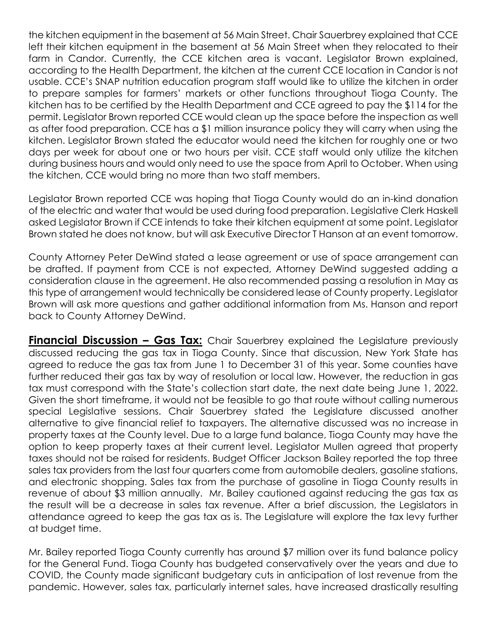the kitchen equipment in the basement at 56 Main Street. Chair Sauerbrey explained that CCE left their kitchen equipment in the basement at 56 Main Street when they relocated to their farm in Candor. Currently, the CCE kitchen area is vacant. Legislator Brown explained, according to the Health Department, the kitchen at the current CCE location in Candor is not usable. CCE's SNAP nutrition education program staff would like to utilize the kitchen in order to prepare samples for farmers' markets or other functions throughout Tioga County. The kitchen has to be certified by the Health Department and CCE agreed to pay the \$114 for the permit. Legislator Brown reported CCE would clean up the space before the inspection as well as after food preparation. CCE has a \$1 million insurance policy they will carry when using the kitchen. Legislator Brown stated the educator would need the kitchen for roughly one or two days per week for about one or two hours per visit. CCE staff would only utilize the kitchen during business hours and would only need to use the space from April to October. When using the kitchen, CCE would bring no more than two staff members.

Legislator Brown reported CCE was hoping that Tioga County would do an in-kind donation of the electric and water that would be used during food preparation. Legislative Clerk Haskell asked Legislator Brown if CCE intends to take their kitchen equipment at some point. Legislator Brown stated he does not know, but will ask Executive Director T Hanson at an event tomorrow.

County Attorney Peter DeWind stated a lease agreement or use of space arrangement can be drafted. If payment from CCE is not expected, Attorney DeWind suggested adding a consideration clause in the agreement. He also recommended passing a resolution in May as this type of arrangement would technically be considered lease of County property. Legislator Brown will ask more questions and gather additional information from Ms. Hanson and report back to County Attorney DeWind.

**Financial Discussion - Gas Tax:** Chair Sauerbrey explained the Legislature previously discussed reducing the gas tax in Tioga County. Since that discussion, New York State has agreed to reduce the gas tax from June 1 to December 31 of this year. Some counties have further reduced their gas tax by way of resolution or local law. However, the reduction in gas tax must correspond with the State's collection start date, the next date being June 1, 2022. Given the short timeframe, it would not be feasible to go that route without calling numerous special Legislative sessions. Chair Sauerbrey stated the Legislature discussed another alternative to give financial relief to taxpayers. The alternative discussed was no increase in property taxes at the County level. Due to a large fund balance, Tioga County may have the option to keep property taxes at their current level. Legislator Mullen agreed that property taxes should not be raised for residents. Budget Officer Jackson Bailey reported the top three sales tax providers from the last four quarters come from automobile dealers, gasoline stations, and electronic shopping. Sales tax from the purchase of gasoline in Tioga County results in revenue of about \$3 million annually. Mr. Bailey cautioned against reducing the gas tax as the result will be a decrease in sales tax revenue. After a brief discussion, the Legislators in attendance agreed to keep the gas tax as is. The Legislature will explore the tax levy further at budget time.

Mr. Bailey reported Tioga County currently has around \$7 million over its fund balance policy for the General Fund. Tioga County has budgeted conservatively over the years and due to COVID, the County made significant budgetary cuts in anticipation of lost revenue from the pandemic. However, sales tax, particularly internet sales, have increased drastically resulting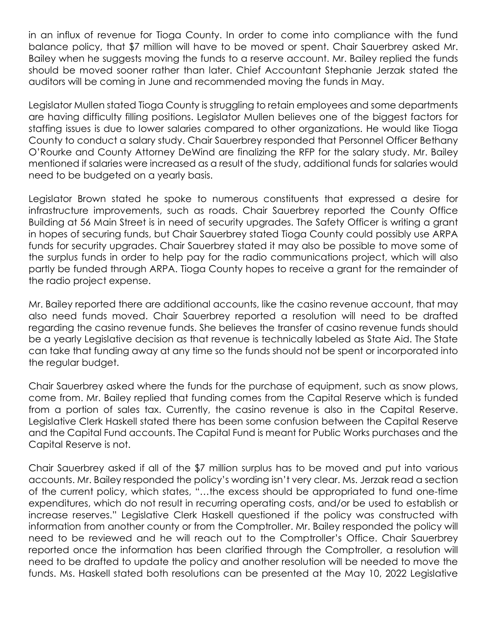in an influx of revenue for Tioga County. In order to come into compliance with the fund balance policy, that \$7 million will have to be moved or spent. Chair Sauerbrey asked Mr. Bailey when he suggests moving the funds to a reserve account. Mr. Bailey replied the funds should be moved sooner rather than later. Chief Accountant Stephanie Jerzak stated the auditors will be coming in June and recommended moving the funds in May.

Legislator Mullen stated Tioga County is struggling to retain employees and some departments are having difficulty filling positions. Legislator Mullen believes one of the biggest factors for staffing issues is due to lower salaries compared to other organizations. He would like Tioga County to conduct a salary study. Chair Sauerbrey responded that Personnel Officer Bethany O'Rourke and County Attorney DeWind are finalizing the RFP for the salary study. Mr. Bailey mentioned if salaries were increased as a result of the study, additional funds for salaries would need to be budgeted on a yearly basis.

Legislator Brown stated he spoke to numerous constituents that expressed a desire for infrastructure improvements, such as roads. Chair Sauerbrey reported the County Office Building at 56 Main Street is in need of security upgrades. The Safety Officer is writing a grant in hopes of securing funds, but Chair Sauerbrey stated Tioga County could possibly use ARPA funds for security upgrades. Chair Sauerbrey stated it may also be possible to move some of the surplus funds in order to help pay for the radio communications project, which will also partly be funded through ARPA. Tioga County hopes to receive a grant for the remainder of the radio project expense.

Mr. Bailey reported there are additional accounts, like the casino revenue account, that may also need funds moved. Chair Sauerbrey reported a resolution will need to be drafted regarding the casino revenue funds. She believes the transfer of casino revenue funds should be a yearly Legislative decision as that revenue is technically labeled as State Aid. The State can take that funding away at any time so the funds should not be spent or incorporated into the regular budget.

Chair Sauerbrey asked where the funds for the purchase of equipment, such as snow plows, come from. Mr. Bailey replied that funding comes from the Capital Reserve which is funded from a portion of sales tax. Currently, the casino revenue is also in the Capital Reserve. Legislative Clerk Haskell stated there has been some confusion between the Capital Reserve and the Capital Fund accounts. The Capital Fund is meant for Public Works purchases and the Capital Reserve is not.

Chair Sauerbrey asked if all of the \$7 million surplus has to be moved and put into various accounts. Mr. Bailey responded the policy's wording isn't very clear. Ms. Jerzak read a section of the current policy, which states, "…the excess should be appropriated to fund one-time expenditures, which do not result in recurring operating costs, and/or be used to establish or increase reserves." Legislative Clerk Haskell questioned if the policy was constructed with information from another county or from the Comptroller. Mr. Bailey responded the policy will need to be reviewed and he will reach out to the Comptroller's Office. Chair Sauerbrey reported once the information has been clarified through the Comptroller, a resolution will need to be drafted to update the policy and another resolution will be needed to move the funds. Ms. Haskell stated both resolutions can be presented at the May 10, 2022 Legislative